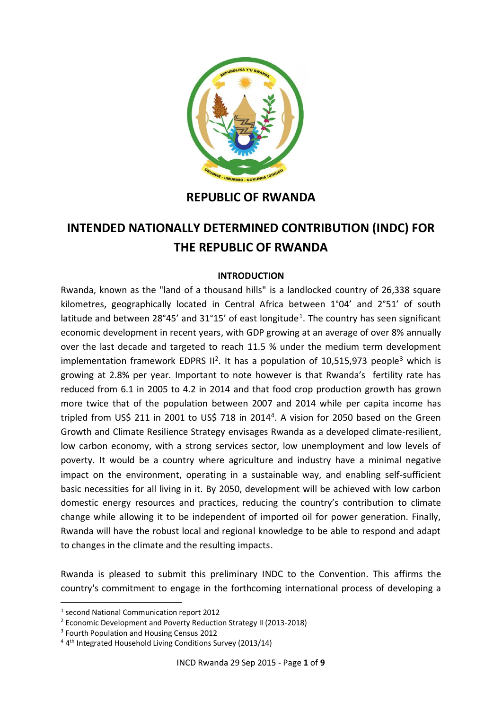

## **REPUBLIC OF RWANDA**

## **INTENDED NATIONALLY DETERMINED CONTRIBUTION (INDC) FOR THE REPUBLIC OF RWANDA**

## **INTRODUCTION**

Rwanda, known as the "land of a thousand hills" is a landlocked country of 26,338 square kilometres, geographically located in Central Africa between 1°04' and 2°51' of south latitude and between  $28^{\circ}45'$  and  $31^{\circ}15'$  of east longitude<sup>1</sup>. The country has seen significant economic development in recent years, with GDP growing at an average of over 8% annually over the last decade and targeted to reach 11.5 % under the medium term development implementation framework EDPRS  $II^2$ . It has a population of 10,515,973 people<sup>3</sup> which is growing at 2.8% per year. Important to note however is that Rwanda's fertility rate has reduced from 6.1 in 2005 to 4.2 in 2014 and that food crop production growth has grown more twice that of the population between 2007 and 2014 while per capita income has tripled from US\$ 211 in 2001 to US\$ 718 in 2014<sup>4</sup>. A vision for 2050 based on the Green Growth and Climate Resilience Strategy envisages Rwanda as a developed climate-resilient, low carbon economy, with a strong services sector, low unemployment and low levels of poverty. It would be a country where agriculture and industry have a minimal negative impact on the environment, operating in a sustainable way, and enabling self-sufficient basic necessities for all living in it. By 2050, development will be achieved with low carbon domestic energy resources and practices, reducing the country's contribution to climate change while allowing it to be independent of imported oil for power generation. Finally, Rwanda will have the robust local and regional knowledge to be able to respond and adapt to changes in the climate and the resulting impacts.

Rwanda is pleased to submit this preliminary INDC to the Convention. This affirms the country's commitment to engage in the forthcoming international process of developing a

-

<sup>1</sup> second National Communication report 2012

<sup>2</sup> Economic Development and Poverty Reduction Strategy II (2013-2018)

<sup>&</sup>lt;sup>3</sup> Fourth Population and Housing Census 2012

<sup>&</sup>lt;sup>4</sup> 4<sup>th</sup> Integrated Household Living Conditions Survey (2013/14)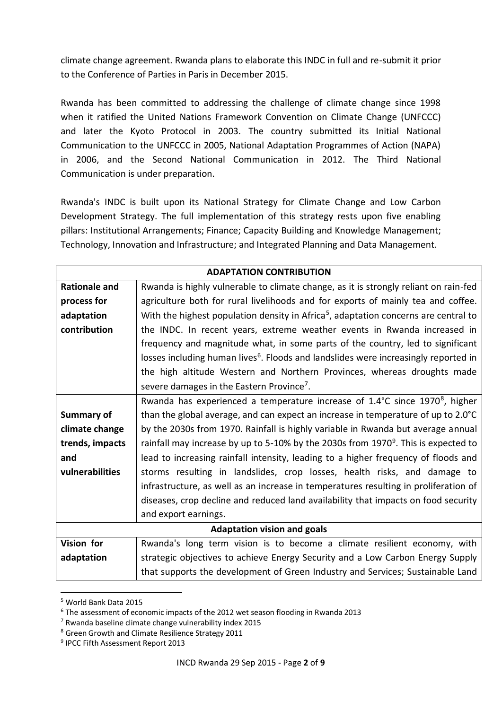climate change agreement. Rwanda plans to elaborate this INDC in full and re-submit it prior to the Conference of Parties in Paris in December 2015.

Rwanda has been committed to addressing the challenge of climate change since 1998 when it ratified the United Nations Framework Convention on Climate Change (UNFCCC) and later the Kyoto Protocol in 2003. The country submitted its Initial National Communication to the UNFCCC in 2005, National Adaptation Programmes of Action (NAPA) in 2006, and the Second National Communication in 2012. The Third National Communication is under preparation.

Rwanda's INDC is built upon its National Strategy for Climate Change and Low Carbon Development Strategy. The full implementation of this strategy rests upon five enabling pillars: Institutional Arrangements; Finance; Capacity Building and Knowledge Management; Technology, Innovation and Infrastructure; and Integrated Planning and Data Management.

| <b>ADAPTATION CONTRIBUTION</b> |                                                                                                 |
|--------------------------------|-------------------------------------------------------------------------------------------------|
| <b>Rationale and</b>           | Rwanda is highly vulnerable to climate change, as it is strongly reliant on rain-fed            |
| process for                    | agriculture both for rural livelihoods and for exports of mainly tea and coffee.                |
| adaptation                     | With the highest population density in Africa <sup>5</sup> , adaptation concerns are central to |
| contribution                   | the INDC. In recent years, extreme weather events in Rwanda increased in                        |
|                                | frequency and magnitude what, in some parts of the country, led to significant                  |
|                                | losses including human lives <sup>6</sup> . Floods and landslides were increasingly reported in |
|                                | the high altitude Western and Northern Provinces, whereas droughts made                         |
|                                | severe damages in the Eastern Province <sup>7</sup> .                                           |
|                                | Rwanda has experienced a temperature increase of $1.4^{\circ}$ C since $1970^8$ , higher        |
| <b>Summary of</b>              | than the global average, and can expect an increase in temperature of up to 2.0°C               |
| climate change                 | by the 2030s from 1970. Rainfall is highly variable in Rwanda but average annual                |
| trends, impacts                | rainfall may increase by up to 5-10% by the 2030s from 1970 <sup>9</sup> . This is expected to  |
| and                            | lead to increasing rainfall intensity, leading to a higher frequency of floods and              |
| vulnerabilities                | storms resulting in landslides, crop losses, health risks, and damage to                        |
|                                | infrastructure, as well as an increase in temperatures resulting in proliferation of            |
|                                | diseases, crop decline and reduced land availability that impacts on food security              |
|                                | and export earnings.                                                                            |
|                                | <b>Adaptation vision and goals</b>                                                              |
| Vision for                     | Rwanda's long term vision is to become a climate resilient economy, with                        |
| adaptation                     | strategic objectives to achieve Energy Security and a Low Carbon Energy Supply                  |
|                                | that supports the development of Green Industry and Services; Sustainable Land                  |

<sup>5</sup> World Bank Data 2015

-

<sup>6</sup> The assessment of economic impacts of the 2012 wet season flooding in Rwanda 2013

 $7$  Rwanda baseline climate change vulnerability index 2015

<sup>8</sup> Green Growth and Climate Resilience Strategy 2011

<sup>&</sup>lt;sup>9</sup> IPCC Fifth Assessment Report 2013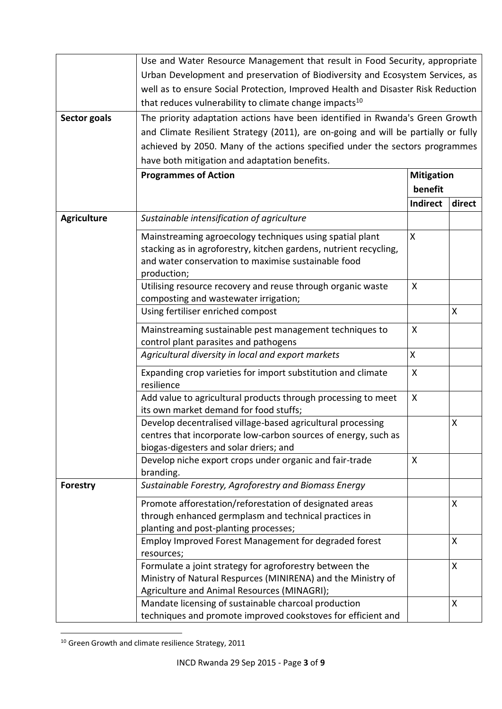|                    | Use and Water Resource Management that result in Food Security, appropriate                             |                    |        |
|--------------------|---------------------------------------------------------------------------------------------------------|--------------------|--------|
|                    | Urban Development and preservation of Biodiversity and Ecosystem Services, as                           |                    |        |
|                    | well as to ensure Social Protection, Improved Health and Disaster Risk Reduction                        |                    |        |
|                    | that reduces vulnerability to climate change impacts <sup>10</sup>                                      |                    |        |
| Sector goals       | The priority adaptation actions have been identified in Rwanda's Green Growth                           |                    |        |
|                    | and Climate Resilient Strategy (2011), are on-going and will be partially or fully                      |                    |        |
|                    | achieved by 2050. Many of the actions specified under the sectors programmes                            |                    |        |
|                    | have both mitigation and adaptation benefits.                                                           |                    |        |
|                    | <b>Programmes of Action</b>                                                                             | <b>Mitigation</b>  |        |
|                    |                                                                                                         | benefit            |        |
|                    |                                                                                                         | Indirect           | direct |
| <b>Agriculture</b> | Sustainable intensification of agriculture                                                              |                    |        |
|                    | Mainstreaming agroecology techniques using spatial plant                                                | X                  |        |
|                    | stacking as in agroforestry, kitchen gardens, nutrient recycling,                                       |                    |        |
|                    | and water conservation to maximise sustainable food                                                     |                    |        |
|                    | production;<br>Utilising resource recovery and reuse through organic waste                              | X                  |        |
|                    | composting and wastewater irrigation;                                                                   |                    |        |
|                    | Using fertiliser enriched compost                                                                       |                    | X      |
|                    |                                                                                                         | X                  |        |
|                    | Mainstreaming sustainable pest management techniques to<br>control plant parasites and pathogens        |                    |        |
|                    | Agricultural diversity in local and export markets                                                      | $\pmb{\mathsf{X}}$ |        |
|                    | Expanding crop varieties for import substitution and climate<br>resilience                              | X                  |        |
|                    | Add value to agricultural products through processing to meet<br>its own market demand for food stuffs; | X                  |        |
|                    | Develop decentralised village-based agricultural processing                                             |                    | Χ      |
|                    | centres that incorporate low-carbon sources of energy, such as                                          |                    |        |
|                    | biogas-digesters and solar driers; and                                                                  |                    |        |
|                    | Develop niche export crops under organic and fair-trade<br>branding.                                    | $\mathsf{X}$       |        |
| Forestry           | Sustainable Forestry, Agroforestry and Biomass Energy                                                   |                    |        |
|                    | Promote afforestation/reforestation of designated areas                                                 |                    | X      |
|                    | through enhanced germplasm and technical practices in                                                   |                    |        |
|                    | planting and post-planting processes;                                                                   |                    |        |
|                    | Employ Improved Forest Management for degraded forest<br>resources;                                     |                    | X      |
|                    | Formulate a joint strategy for agroforestry between the                                                 |                    | X      |
|                    | Ministry of Natural Respurces (MINIRENA) and the Ministry of                                            |                    |        |
|                    | Agriculture and Animal Resources (MINAGRI);                                                             |                    |        |
|                    | Mandate licensing of sustainable charcoal production                                                    |                    | Χ      |
|                    | techniques and promote improved cookstoves for efficient and                                            |                    |        |

<sup>-</sup> $10$  Green Growth and climate resilience Strategy, 2011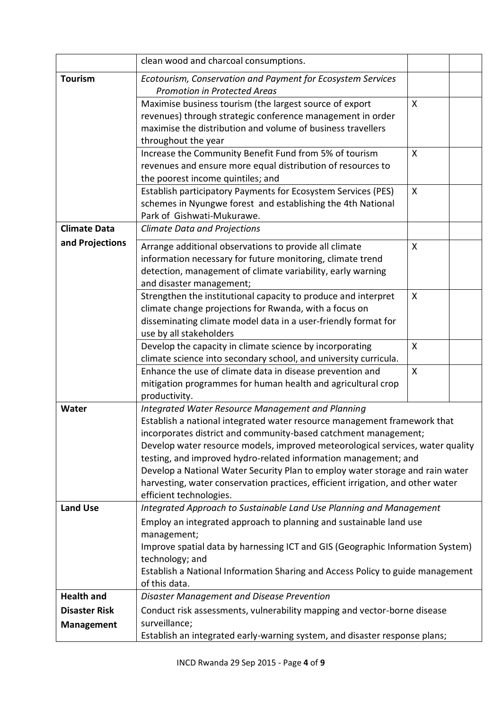|                                           | clean wood and charcoal consumptions.                                                                                                                                                                                                                                                                                                                                                                                                                                                                                                                       |              |  |
|-------------------------------------------|-------------------------------------------------------------------------------------------------------------------------------------------------------------------------------------------------------------------------------------------------------------------------------------------------------------------------------------------------------------------------------------------------------------------------------------------------------------------------------------------------------------------------------------------------------------|--------------|--|
| <b>Tourism</b>                            | Ecotourism, Conservation and Payment for Ecosystem Services<br><b>Promotion in Protected Areas</b>                                                                                                                                                                                                                                                                                                                                                                                                                                                          |              |  |
|                                           | Maximise business tourism (the largest source of export<br>revenues) through strategic conference management in order<br>maximise the distribution and volume of business travellers<br>throughout the year                                                                                                                                                                                                                                                                                                                                                 | $\mathsf{X}$ |  |
|                                           | Increase the Community Benefit Fund from 5% of tourism<br>revenues and ensure more equal distribution of resources to<br>the poorest income quintiles; and                                                                                                                                                                                                                                                                                                                                                                                                  | $\mathsf{X}$ |  |
|                                           | Establish participatory Payments for Ecosystem Services (PES)<br>schemes in Nyungwe forest and establishing the 4th National<br>Park of Gishwati-Mukurawe.                                                                                                                                                                                                                                                                                                                                                                                                  | X            |  |
| <b>Climate Data</b>                       | <b>Climate Data and Projections</b>                                                                                                                                                                                                                                                                                                                                                                                                                                                                                                                         |              |  |
| and Projections                           | Arrange additional observations to provide all climate<br>information necessary for future monitoring, climate trend<br>detection, management of climate variability, early warning<br>and disaster management;                                                                                                                                                                                                                                                                                                                                             | X            |  |
|                                           | Strengthen the institutional capacity to produce and interpret<br>climate change projections for Rwanda, with a focus on<br>disseminating climate model data in a user-friendly format for<br>use by all stakeholders                                                                                                                                                                                                                                                                                                                                       | X            |  |
|                                           | Develop the capacity in climate science by incorporating<br>climate science into secondary school, and university curricula.                                                                                                                                                                                                                                                                                                                                                                                                                                | X            |  |
|                                           | Enhance the use of climate data in disease prevention and<br>mitigation programmes for human health and agricultural crop<br>productivity.                                                                                                                                                                                                                                                                                                                                                                                                                  | $\mathsf{X}$ |  |
| Water                                     | <b>Integrated Water Resource Management and Planning</b><br>Establish a national integrated water resource management framework that<br>incorporates district and community-based catchment management;<br>Develop water resource models, improved meteorological services, water quality<br>testing, and improved hydro-related information management; and<br>Develop a National Water Security Plan to employ water storage and rain water<br>harvesting, water conservation practices, efficient irrigation, and other water<br>efficient technologies. |              |  |
| <b>Land Use</b>                           | Integrated Approach to Sustainable Land Use Planning and Management<br>Employ an integrated approach to planning and sustainable land use<br>management;<br>Improve spatial data by harnessing ICT and GIS (Geographic Information System)<br>technology; and<br>Establish a National Information Sharing and Access Policy to guide management<br>of this data.                                                                                                                                                                                            |              |  |
| <b>Health and</b>                         | <b>Disaster Management and Disease Prevention</b>                                                                                                                                                                                                                                                                                                                                                                                                                                                                                                           |              |  |
| <b>Disaster Risk</b><br><b>Management</b> | Conduct risk assessments, vulnerability mapping and vector-borne disease<br>surveillance;<br>Establish an integrated early-warning system, and disaster response plans;                                                                                                                                                                                                                                                                                                                                                                                     |              |  |
|                                           |                                                                                                                                                                                                                                                                                                                                                                                                                                                                                                                                                             |              |  |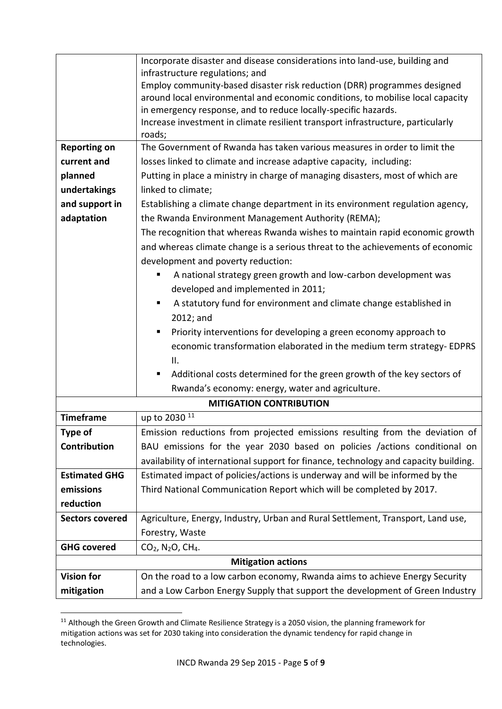|                        | Incorporate disaster and disease considerations into land-use, building and<br>infrastructure regulations; and<br>Employ community-based disaster risk reduction (DRR) programmes designed<br>around local environmental and economic conditions, to mobilise local capacity<br>in emergency response, and to reduce locally-specific hazards. |
|------------------------|------------------------------------------------------------------------------------------------------------------------------------------------------------------------------------------------------------------------------------------------------------------------------------------------------------------------------------------------|
|                        | Increase investment in climate resilient transport infrastructure, particularly<br>roads;                                                                                                                                                                                                                                                      |
| <b>Reporting on</b>    | The Government of Rwanda has taken various measures in order to limit the                                                                                                                                                                                                                                                                      |
| current and            | losses linked to climate and increase adaptive capacity, including:                                                                                                                                                                                                                                                                            |
| planned                | Putting in place a ministry in charge of managing disasters, most of which are                                                                                                                                                                                                                                                                 |
| undertakings           | linked to climate;                                                                                                                                                                                                                                                                                                                             |
| and support in         | Establishing a climate change department in its environment regulation agency,                                                                                                                                                                                                                                                                 |
| adaptation             | the Rwanda Environment Management Authority (REMA);                                                                                                                                                                                                                                                                                            |
|                        | The recognition that whereas Rwanda wishes to maintain rapid economic growth                                                                                                                                                                                                                                                                   |
|                        | and whereas climate change is a serious threat to the achievements of economic<br>development and poverty reduction:                                                                                                                                                                                                                           |
|                        | A national strategy green growth and low-carbon development was                                                                                                                                                                                                                                                                                |
|                        | developed and implemented in 2011;                                                                                                                                                                                                                                                                                                             |
|                        | A statutory fund for environment and climate change established in<br>٠<br>2012; and                                                                                                                                                                                                                                                           |
|                        | Priority interventions for developing a green economy approach to                                                                                                                                                                                                                                                                              |
|                        | economic transformation elaborated in the medium term strategy- EDPRS<br>Н.                                                                                                                                                                                                                                                                    |
|                        | Additional costs determined for the green growth of the key sectors of                                                                                                                                                                                                                                                                         |
|                        | Rwanda's economy: energy, water and agriculture.                                                                                                                                                                                                                                                                                               |
|                        | <b>MITIGATION CONTRIBUTION</b>                                                                                                                                                                                                                                                                                                                 |
| <b>Timeframe</b>       | up to 2030 <sup>11</sup>                                                                                                                                                                                                                                                                                                                       |
| Type of                | Emission reductions from projected emissions resulting from the deviation of                                                                                                                                                                                                                                                                   |
| Contribution           | BAU emissions for the year 2030 based on policies /actions conditional on                                                                                                                                                                                                                                                                      |
|                        | availability of international support for finance, technology and capacity building.                                                                                                                                                                                                                                                           |
| <b>Estimated GHG</b>   | Estimated impact of policies/actions is underway and will be informed by the                                                                                                                                                                                                                                                                   |
| emissions              | Third National Communication Report which will be completed by 2017.                                                                                                                                                                                                                                                                           |
| reduction              |                                                                                                                                                                                                                                                                                                                                                |
| <b>Sectors covered</b> | Agriculture, Energy, Industry, Urban and Rural Settlement, Transport, Land use,                                                                                                                                                                                                                                                                |
|                        | Forestry, Waste                                                                                                                                                                                                                                                                                                                                |
| <b>GHG covered</b>     | CO <sub>2</sub> , N <sub>2</sub> O, CH <sub>4</sub> .                                                                                                                                                                                                                                                                                          |
|                        | <b>Mitigation actions</b>                                                                                                                                                                                                                                                                                                                      |
| <b>Vision for</b>      | On the road to a low carbon economy, Rwanda aims to achieve Energy Security                                                                                                                                                                                                                                                                    |
| mitigation             | and a Low Carbon Energy Supply that support the development of Green Industry                                                                                                                                                                                                                                                                  |

<sup>-</sup> $11$  Although the Green Growth and Climate Resilience Strategy is a 2050 vision, the planning framework for mitigation actions was set for 2030 taking into consideration the dynamic tendency for rapid change in technologies.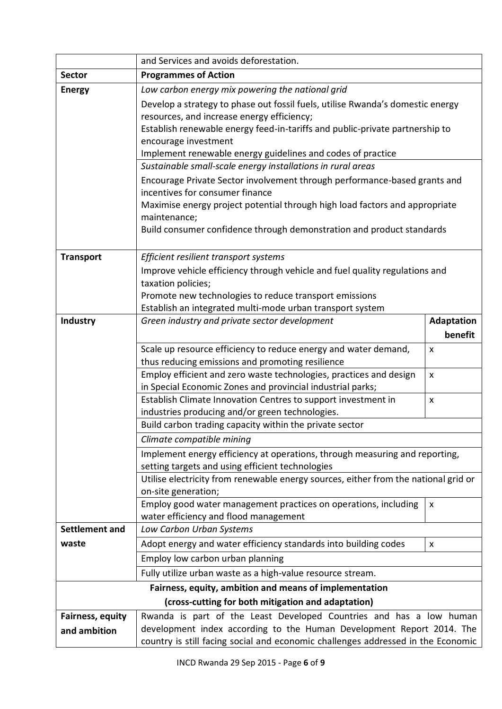|                         | and Services and avoids deforestation.                                                                                 |                    |
|-------------------------|------------------------------------------------------------------------------------------------------------------------|--------------------|
| <b>Sector</b>           | <b>Programmes of Action</b>                                                                                            |                    |
| <b>Energy</b>           | Low carbon energy mix powering the national grid                                                                       |                    |
|                         | Develop a strategy to phase out fossil fuels, utilise Rwanda's domestic energy                                         |                    |
|                         | resources, and increase energy efficiency;                                                                             |                    |
|                         | Establish renewable energy feed-in-tariffs and public-private partnership to                                           |                    |
|                         | encourage investment                                                                                                   |                    |
|                         | Implement renewable energy guidelines and codes of practice                                                            |                    |
|                         | Sustainable small-scale energy installations in rural areas                                                            |                    |
|                         | Encourage Private Sector involvement through performance-based grants and<br>incentives for consumer finance           |                    |
|                         | Maximise energy project potential through high load factors and appropriate                                            |                    |
|                         | maintenance;                                                                                                           |                    |
|                         | Build consumer confidence through demonstration and product standards                                                  |                    |
|                         |                                                                                                                        |                    |
| <b>Transport</b>        | Efficient resilient transport systems                                                                                  |                    |
|                         | Improve vehicle efficiency through vehicle and fuel quality regulations and                                            |                    |
|                         | taxation policies;                                                                                                     |                    |
|                         | Promote new technologies to reduce transport emissions                                                                 |                    |
|                         | Establish an integrated multi-mode urban transport system                                                              |                    |
| Industry                | Green industry and private sector development                                                                          | <b>Adaptation</b>  |
|                         |                                                                                                                        | benefit            |
|                         | Scale up resource efficiency to reduce energy and water demand,                                                        | X                  |
|                         | thus reducing emissions and promoting resilience<br>Employ efficient and zero waste technologies, practices and design |                    |
|                         | in Special Economic Zones and provincial industrial parks;                                                             | $\pmb{\mathsf{X}}$ |
|                         | Establish Climate Innovation Centres to support investment in                                                          | $\pmb{\mathsf{X}}$ |
|                         | industries producing and/or green technologies.                                                                        |                    |
|                         | Build carbon trading capacity within the private sector                                                                |                    |
|                         | Climate compatible mining                                                                                              |                    |
|                         | Implement energy efficiency at operations, through measuring and reporting,                                            |                    |
|                         | setting targets and using efficient technologies                                                                       |                    |
|                         | Utilise electricity from renewable energy sources, either from the national grid or                                    |                    |
|                         | on-site generation;                                                                                                    |                    |
|                         | Employ good water management practices on operations, including                                                        | X                  |
| <b>Settlement and</b>   | water efficiency and flood management<br>Low Carbon Urban Systems                                                      |                    |
| waste                   | Adopt energy and water efficiency standards into building codes                                                        | X                  |
|                         | Employ low carbon urban planning                                                                                       |                    |
|                         |                                                                                                                        |                    |
|                         | Fully utilize urban waste as a high-value resource stream.                                                             |                    |
|                         | Fairness, equity, ambition and means of implementation<br>(cross-cutting for both mitigation and adaptation)           |                    |
| <b>Fairness, equity</b> | Rwanda is part of the Least Developed Countries and has a low human                                                    |                    |
| and ambition            | development index according to the Human Development Report 2014. The                                                  |                    |
|                         | country is still facing social and economic challenges addressed in the Economic                                       |                    |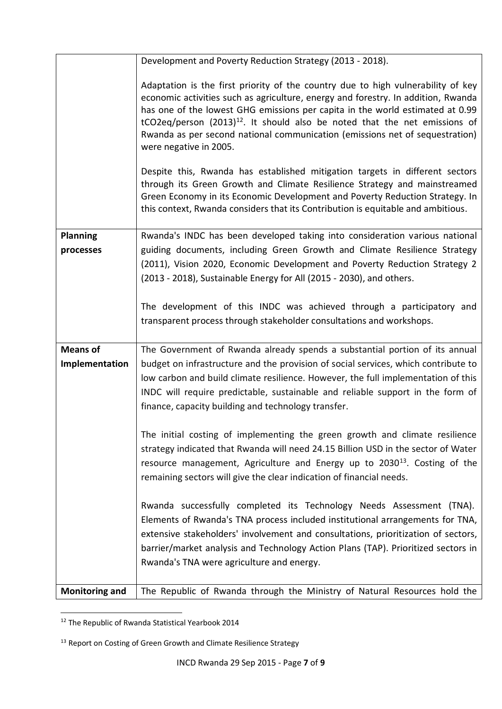|                                   | Development and Poverty Reduction Strategy (2013 - 2018).                                                                                                                                                                                                                                                                                                                                                                                           |
|-----------------------------------|-----------------------------------------------------------------------------------------------------------------------------------------------------------------------------------------------------------------------------------------------------------------------------------------------------------------------------------------------------------------------------------------------------------------------------------------------------|
|                                   | Adaptation is the first priority of the country due to high vulnerability of key<br>economic activities such as agriculture, energy and forestry. In addition, Rwanda<br>has one of the lowest GHG emissions per capita in the world estimated at 0.99<br>tCO2eq/person $(2013)^{12}$ . It should also be noted that the net emissions of<br>Rwanda as per second national communication (emissions net of sequestration)<br>were negative in 2005. |
|                                   | Despite this, Rwanda has established mitigation targets in different sectors<br>through its Green Growth and Climate Resilience Strategy and mainstreamed<br>Green Economy in its Economic Development and Poverty Reduction Strategy. In<br>this context, Rwanda considers that its Contribution is equitable and ambitious.                                                                                                                       |
| <b>Planning</b>                   | Rwanda's INDC has been developed taking into consideration various national                                                                                                                                                                                                                                                                                                                                                                         |
| processes                         | guiding documents, including Green Growth and Climate Resilience Strategy<br>(2011), Vision 2020, Economic Development and Poverty Reduction Strategy 2<br>(2013 - 2018), Sustainable Energy for All (2015 - 2030), and others.                                                                                                                                                                                                                     |
|                                   | The development of this INDC was achieved through a participatory and<br>transparent process through stakeholder consultations and workshops.                                                                                                                                                                                                                                                                                                       |
| <b>Means of</b><br>Implementation | The Government of Rwanda already spends a substantial portion of its annual<br>budget on infrastructure and the provision of social services, which contribute to<br>low carbon and build climate resilience. However, the full implementation of this<br>INDC will require predictable, sustainable and reliable support in the form of<br>finance, capacity building and technology transfer.                                                     |
|                                   | The initial costing of implementing the green growth and climate resilience<br>strategy indicated that Rwanda will need 24.15 Billion USD in the sector of Water<br>resource management, Agriculture and Energy up to 2030 <sup>13</sup> . Costing of the<br>remaining sectors will give the clear indication of financial needs.                                                                                                                   |
|                                   | Rwanda successfully completed its Technology Needs Assessment (TNA).<br>Elements of Rwanda's TNA process included institutional arrangements for TNA,                                                                                                                                                                                                                                                                                               |
|                                   | extensive stakeholders' involvement and consultations, prioritization of sectors,<br>barrier/market analysis and Technology Action Plans (TAP). Prioritized sectors in                                                                                                                                                                                                                                                                              |
|                                   | Rwanda's TNA were agriculture and energy.                                                                                                                                                                                                                                                                                                                                                                                                           |
| <b>Monitoring and</b>             | The Republic of Rwanda through the Ministry of Natural Resources hold the                                                                                                                                                                                                                                                                                                                                                                           |

<sup>-</sup><sup>12</sup> The Republic of Rwanda Statistical Yearbook 2014

<sup>&</sup>lt;sup>13</sup> Report on Costing of Green Growth and Climate Resilience Strategy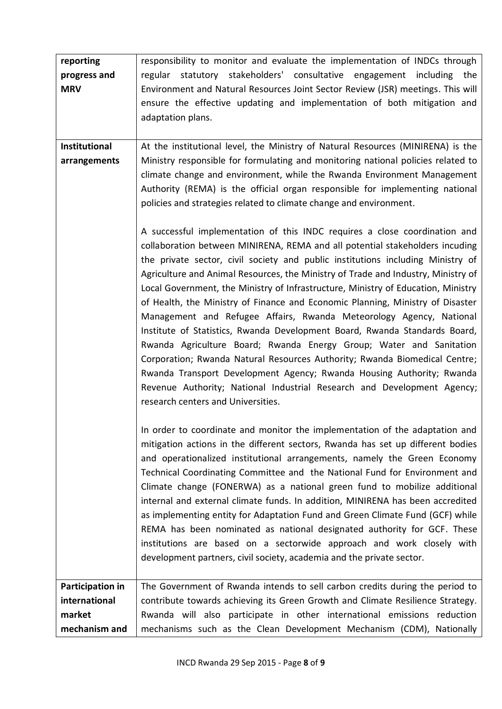| reporting<br>progress and<br><b>MRV</b> | responsibility to monitor and evaluate the implementation of INDCs through<br>regular statutory stakeholders' consultative engagement including the<br>Environment and Natural Resources Joint Sector Review (JSR) meetings. This will<br>ensure the effective updating and implementation of both mitigation and<br>adaptation plans.                                                                                                                                                                                                                                                                                                                                                                                                                                                                                                                                                                                                                                                                        |
|-----------------------------------------|---------------------------------------------------------------------------------------------------------------------------------------------------------------------------------------------------------------------------------------------------------------------------------------------------------------------------------------------------------------------------------------------------------------------------------------------------------------------------------------------------------------------------------------------------------------------------------------------------------------------------------------------------------------------------------------------------------------------------------------------------------------------------------------------------------------------------------------------------------------------------------------------------------------------------------------------------------------------------------------------------------------|
| Institutional<br>arrangements           | At the institutional level, the Ministry of Natural Resources (MINIRENA) is the<br>Ministry responsible for formulating and monitoring national policies related to<br>climate change and environment, while the Rwanda Environment Management<br>Authority (REMA) is the official organ responsible for implementing national<br>policies and strategies related to climate change and environment.                                                                                                                                                                                                                                                                                                                                                                                                                                                                                                                                                                                                          |
|                                         | A successful implementation of this INDC requires a close coordination and<br>collaboration between MINIRENA, REMA and all potential stakeholders incuding<br>the private sector, civil society and public institutions including Ministry of<br>Agriculture and Animal Resources, the Ministry of Trade and Industry, Ministry of<br>Local Government, the Ministry of Infrastructure, Ministry of Education, Ministry<br>of Health, the Ministry of Finance and Economic Planning, Ministry of Disaster<br>Management and Refugee Affairs, Rwanda Meteorology Agency, National<br>Institute of Statistics, Rwanda Development Board, Rwanda Standards Board,<br>Rwanda Agriculture Board; Rwanda Energy Group; Water and Sanitation<br>Corporation; Rwanda Natural Resources Authority; Rwanda Biomedical Centre;<br>Rwanda Transport Development Agency; Rwanda Housing Authority; Rwanda<br>Revenue Authority; National Industrial Research and Development Agency;<br>research centers and Universities. |
|                                         | In order to coordinate and monitor the implementation of the adaptation and<br>mitigation actions in the different sectors, Rwanda has set up different bodies<br>and operationalized institutional arrangements, namely the Green Economy<br>Technical Coordinating Committee and the National Fund for Environment and<br>Climate change (FONERWA) as a national green fund to mobilize additional<br>internal and external climate funds. In addition, MINIRENA has been accredited<br>as implementing entity for Adaptation Fund and Green Climate Fund (GCF) while<br>REMA has been nominated as national designated authority for GCF. These<br>institutions are based on a sectorwide approach and work closely with<br>development partners, civil society, academia and the private sector.                                                                                                                                                                                                          |
| Participation in                        | The Government of Rwanda intends to sell carbon credits during the period to                                                                                                                                                                                                                                                                                                                                                                                                                                                                                                                                                                                                                                                                                                                                                                                                                                                                                                                                  |
| international                           | contribute towards achieving its Green Growth and Climate Resilience Strategy.                                                                                                                                                                                                                                                                                                                                                                                                                                                                                                                                                                                                                                                                                                                                                                                                                                                                                                                                |
| market                                  | Rwanda will also participate in other international emissions reduction                                                                                                                                                                                                                                                                                                                                                                                                                                                                                                                                                                                                                                                                                                                                                                                                                                                                                                                                       |
| mechanism and                           | mechanisms such as the Clean Development Mechanism (CDM), Nationally                                                                                                                                                                                                                                                                                                                                                                                                                                                                                                                                                                                                                                                                                                                                                                                                                                                                                                                                          |
|                                         |                                                                                                                                                                                                                                                                                                                                                                                                                                                                                                                                                                                                                                                                                                                                                                                                                                                                                                                                                                                                               |